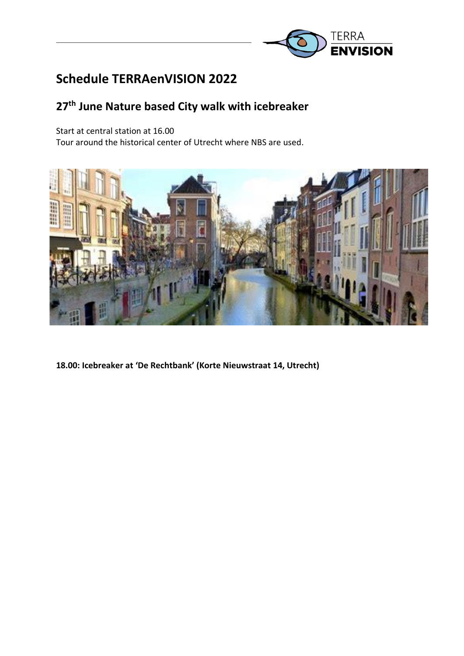

# **Schedule TERRAenVISION 2022**

## **27th June Nature based City walk with icebreaker**

Start at central station at 16.00

Tour around the historical center of Utrecht where NBS are used.



**18.00: Icebreaker at 'De Rechtbank' (Korte Nieuwstraat 14, Utrecht)**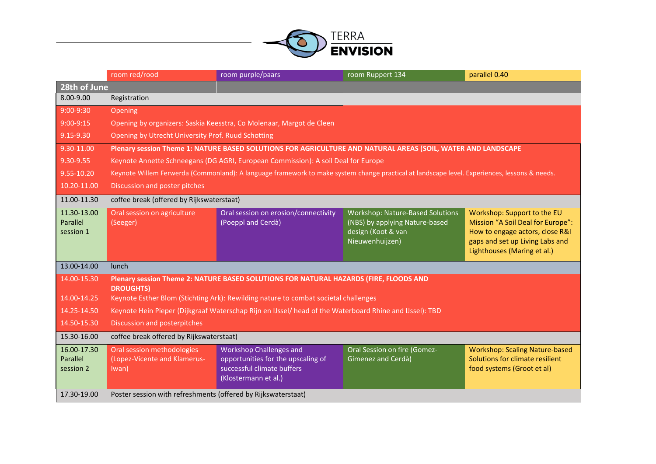

|                                           | room red/rood                                                                                                                                                                                                                                                                                               | room purple/paars                                                                                                          | room Ruppert 134                                                                                                   | parallel 0.40                                                                                                                                                         |  |  |
|-------------------------------------------|-------------------------------------------------------------------------------------------------------------------------------------------------------------------------------------------------------------------------------------------------------------------------------------------------------------|----------------------------------------------------------------------------------------------------------------------------|--------------------------------------------------------------------------------------------------------------------|-----------------------------------------------------------------------------------------------------------------------------------------------------------------------|--|--|
| 28th of June                              |                                                                                                                                                                                                                                                                                                             |                                                                                                                            |                                                                                                                    |                                                                                                                                                                       |  |  |
| 8.00-9.00                                 | Registration                                                                                                                                                                                                                                                                                                |                                                                                                                            |                                                                                                                    |                                                                                                                                                                       |  |  |
| $9:00-9:30$                               | Opening                                                                                                                                                                                                                                                                                                     |                                                                                                                            |                                                                                                                    |                                                                                                                                                                       |  |  |
| $9:00-9:15$                               | Opening by organizers: Saskia Keesstra, Co Molenaar, Margot de Cleen                                                                                                                                                                                                                                        |                                                                                                                            |                                                                                                                    |                                                                                                                                                                       |  |  |
| 9.15-9.30                                 | Opening by Utrecht University Prof. Ruud Schotting                                                                                                                                                                                                                                                          |                                                                                                                            |                                                                                                                    |                                                                                                                                                                       |  |  |
| 9.30-11.00                                | Plenary session Theme 1: NATURE BASED SOLUTIONS FOR AGRICULTURE AND NATURAL AREAS (SOIL, WATER AND LANDSCAPE                                                                                                                                                                                                |                                                                                                                            |                                                                                                                    |                                                                                                                                                                       |  |  |
| 9.30-9.55                                 | Keynote Annette Schneegans (DG AGRI, European Commission): A soil Deal for Europe                                                                                                                                                                                                                           |                                                                                                                            |                                                                                                                    |                                                                                                                                                                       |  |  |
| 9.55-10.20                                | Keynote Willem Ferwerda (Commonland): A language framework to make system change practical at landscape level. Experiences, lessons & needs.                                                                                                                                                                |                                                                                                                            |                                                                                                                    |                                                                                                                                                                       |  |  |
| 10.20-11.00                               | Discussion and poster pitches                                                                                                                                                                                                                                                                               |                                                                                                                            |                                                                                                                    |                                                                                                                                                                       |  |  |
| 11.00-11.30                               | coffee break (offered by Rijkswaterstaat)                                                                                                                                                                                                                                                                   |                                                                                                                            |                                                                                                                    |                                                                                                                                                                       |  |  |
| 11.30-13.00<br>Parallel<br>session 1      | Oral session on agriculture<br>(Seeger)                                                                                                                                                                                                                                                                     | Oral session on erosion/connectivity<br>(Poeppl and Cerdà)                                                                 | <b>Workshop: Nature-Based Solutions</b><br>(NBS) by applying Nature-based<br>design (Koot & van<br>Nieuwenhuijzen) | Workshop: Support to the EU<br>Mission "A Soil Deal for Europe":<br>How to engage actors, close R&I<br>gaps and set up Living Labs and<br>Lighthouses (Maring et al.) |  |  |
| 13.00-14.00                               | lunch                                                                                                                                                                                                                                                                                                       |                                                                                                                            |                                                                                                                    |                                                                                                                                                                       |  |  |
| 14.00-15.30<br>14.00-14.25<br>14.25-14.50 | Plenary session Theme 2: NATURE BASED SOLUTIONS FOR NATURAL HAZARDS (FIRE, FLOODS AND<br><b>DROUGHTS)</b><br>Keynote Esther Blom (Stichting Ark): Rewilding nature to combat societal challenges<br>Keynote Hein Pieper (Dijkgraaf Waterschap Rijn en IJssel/ head of the Waterboard Rhine and IJssel): TBD |                                                                                                                            |                                                                                                                    |                                                                                                                                                                       |  |  |
| 14.50-15.30                               | Discussion and posterpitches                                                                                                                                                                                                                                                                                |                                                                                                                            |                                                                                                                    |                                                                                                                                                                       |  |  |
| 15.30-16.00                               | coffee break offered by Rijkswaterstaat)                                                                                                                                                                                                                                                                    |                                                                                                                            |                                                                                                                    |                                                                                                                                                                       |  |  |
| 16.00-17.30<br>Parallel<br>session 2      | Oral session methodologies<br>(Lopez-Vicente and Klamerus-<br>Iwan)                                                                                                                                                                                                                                         | <b>Workshop Challenges and</b><br>opportunities for the upscaling of<br>successful climate buffers<br>(Klostermann et al.) | Oral Session on fire (Gomez-<br>Gimenez and Cerdà)                                                                 | <b>Workshop: Scaling Nature-based</b><br>Solutions for climate resilient<br>food systems (Groot et al)                                                                |  |  |
| 17.30-19.00                               | Poster session with refreshments (offered by Rijkswaterstaat)                                                                                                                                                                                                                                               |                                                                                                                            |                                                                                                                    |                                                                                                                                                                       |  |  |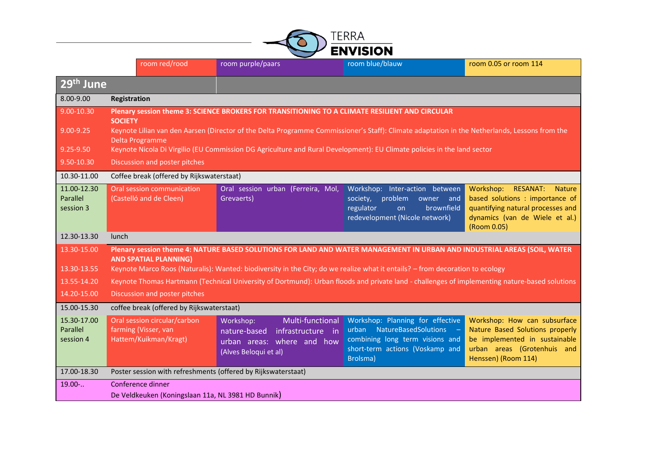|                                      | ERRA<br><b>ENVISION</b>                                                                                                                                                                                                                                                                   |               |                                                                                                                           |                                                                                                                                                  |                                                                                                                                                              |  |
|--------------------------------------|-------------------------------------------------------------------------------------------------------------------------------------------------------------------------------------------------------------------------------------------------------------------------------------------|---------------|---------------------------------------------------------------------------------------------------------------------------|--------------------------------------------------------------------------------------------------------------------------------------------------|--------------------------------------------------------------------------------------------------------------------------------------------------------------|--|
|                                      |                                                                                                                                                                                                                                                                                           | room red/rood | room purple/paars                                                                                                         | room blue/blauw                                                                                                                                  | room 0.05 or room 114                                                                                                                                        |  |
| 29 <sup>th</sup> June                |                                                                                                                                                                                                                                                                                           |               |                                                                                                                           |                                                                                                                                                  |                                                                                                                                                              |  |
| 8.00-9.00                            | Registration                                                                                                                                                                                                                                                                              |               |                                                                                                                           |                                                                                                                                                  |                                                                                                                                                              |  |
| 9.00-10.30                           | Plenary session theme 3: SCIENCE BROKERS FOR TRANSITIONING TO A CLIMATE RESILIENT AND CIRCULAR                                                                                                                                                                                            |               |                                                                                                                           |                                                                                                                                                  |                                                                                                                                                              |  |
| $9.00 - 9.25$                        | <b>SOCIETY</b><br>Keynote Lilian van den Aarsen (Director of the Delta Programme Commissioner's Staff): Climate adaptation in the Netherlands, Lessons from the<br>Delta Programme                                                                                                        |               |                                                                                                                           |                                                                                                                                                  |                                                                                                                                                              |  |
| $9.25 - 9.50$                        | Keynote Nicola Di Virgilio (EU Commission DG Agriculture and Rural Development): EU Climate policies in the land sector                                                                                                                                                                   |               |                                                                                                                           |                                                                                                                                                  |                                                                                                                                                              |  |
| 9.50-10.30                           | Discussion and poster pitches                                                                                                                                                                                                                                                             |               |                                                                                                                           |                                                                                                                                                  |                                                                                                                                                              |  |
| 10.30-11.00                          | Coffee break (offered by Rijkswaterstaat)                                                                                                                                                                                                                                                 |               |                                                                                                                           |                                                                                                                                                  |                                                                                                                                                              |  |
| 11.00-12.30<br>Parallel<br>session 3 | Oral session communication<br>(Castelló and de Cleen)                                                                                                                                                                                                                                     |               | Oral session urban (Ferreira, Mol,<br>Grevaerts)                                                                          | Workshop: Inter-action between<br>problem owner and<br>society,<br>brownfield<br>regulator<br>on<br>redevelopment (Nicole network)               | Workshop: RESANAT:<br><b>Nature</b><br>based solutions : importance of<br>quantifying natural processes and<br>dynamics (van de Wiele et al.)<br>(Room 0.05) |  |
| 12.30-13.30                          | lunch                                                                                                                                                                                                                                                                                     |               |                                                                                                                           |                                                                                                                                                  |                                                                                                                                                              |  |
| 13.30-15.00<br>13.30-13.55           | Plenary session theme 4: NATURE BASED SOLUTIONS FOR LAND AND WATER MANAGEMENT IN URBAN AND INDUSTRIAL AREAS (SOIL, WATER<br><b>AND SPATIAL PLANNING)</b><br>Keynote Marco Roos (Naturalis): Wanted: biodiversity in the City; do we realize what it entails? - from decoration to ecology |               |                                                                                                                           |                                                                                                                                                  |                                                                                                                                                              |  |
| 13.55-14.20                          | Keynote Thomas Hartmann (Technical University of Dortmund): Urban floods and private land - challenges of implementing nature-based solutions                                                                                                                                             |               |                                                                                                                           |                                                                                                                                                  |                                                                                                                                                              |  |
| 14.20-15.00                          | Discussion and poster pitches                                                                                                                                                                                                                                                             |               |                                                                                                                           |                                                                                                                                                  |                                                                                                                                                              |  |
| 15.00-15.30                          | coffee break (offered by Rijkswaterstaat)                                                                                                                                                                                                                                                 |               |                                                                                                                           |                                                                                                                                                  |                                                                                                                                                              |  |
| 15.30-17.00<br>Parallel<br>session 4 | Oral session circular/carbon<br>farming (Visser, van<br>Hattem/Kuikman/Kragt)                                                                                                                                                                                                             |               | Multi-functional<br>Workshop:<br>infrastructure in<br>nature-based<br>urban areas: where and how<br>(Alves Beloqui et al) | Workshop: Planning for effective<br>urban NatureBasedSolutions<br>combining long term visions and<br>short-term actions (Voskamp and<br>Brolsma) | Workshop: How can subsurface<br>Nature Based Solutions properly<br>be implemented in sustainable<br>urban areas (Grotenhuis and<br>Henssen) (Room 114)       |  |
| 17.00-18.30                          | Poster session with refreshments (offered by Rijkswaterstaat)                                                                                                                                                                                                                             |               |                                                                                                                           |                                                                                                                                                  |                                                                                                                                                              |  |
| $19.00-.$                            | Conference dinner                                                                                                                                                                                                                                                                         |               | De Veldkeuken (Koningslaan 11a, NL 3981 HD Bunnik)                                                                        |                                                                                                                                                  |                                                                                                                                                              |  |

 $\overline{\phantom{0}}$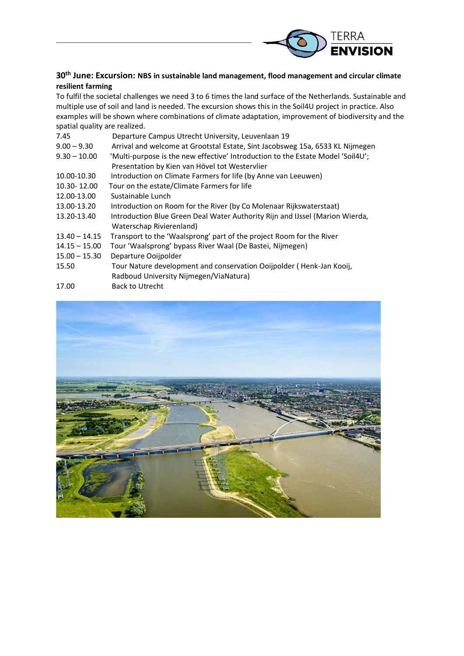

### **30th June: Excursion: NBS in sustainable land management, flood management and circular climate resilient farming**

To fulfil the societal challenges we need 3 to 6 times the land surface of the Netherlands. Sustainable and multiple use of soil and land is needed. The excursion shows this in the Soil4U project in practice. Also examples will be shown where combinations of climate adaptation, improvement of biodiversity and the spatial quality are realized.

| 7.45            | Departure Campus Utrecht University, Leuvenlaan 19                              |
|-----------------|---------------------------------------------------------------------------------|
| $9.00 - 9.30$   | Arrival and welcome at Grootstal Estate, Sint Jacobsweg 15a, 6533 KL Nijmegen   |
| $9.30 - 10.00$  | 'Multi-purpose is the new effective' Introduction to the Estate Model 'Soil4U'; |
|                 | Presentation by Kien van Hövel tot Westervlier                                  |
| 10.00-10.30     | Introduction on Climate Farmers for life (by Anne van Leeuwen)                  |
| 10.30-12.00     | Tour on the estate/Climate Farmers for life                                     |
| 12.00-13.00     | Sustainable Lunch                                                               |
| 13.00-13.20     | Introduction on Room for the River (by Co Molenaar Rijkswaterstaat)             |
| 13.20-13.40     | Introduction Blue Green Deal Water Authority Rijn and IJssel (Marion Wierda,    |
|                 | Waterschap Rivierenland)                                                        |
| $13.40 - 14.15$ | Transport to the 'Waalsprong' part of the project Room for the River            |
| $14.15 - 15.00$ | Tour 'Waalsprong' bypass River Waal (De Bastei, Nijmegen)                       |
| $15.00 - 15.30$ | Departure Ooijpolder                                                            |
| 15.50           | Tour Nature development and conservation Ooijpolder (Henk-Jan Kooij,            |
|                 | Radboud University Nijmegen/ViaNatura)                                          |
|                 |                                                                                 |

17.00 Back to Utrecht

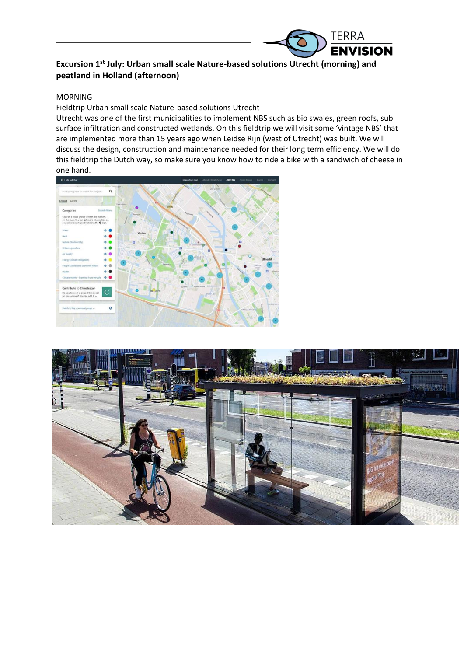

## **Excursion 1st July: Urban small scale Nature-based solutions Utrecht (morning) and peatland in Holland (afternoon)**

#### MORNING

Fieldtrip Urban small scale Nature-based solutions Utrecht

Utrecht was one of the first municipalities to implement NBS such as bio swales, green roofs, sub surface infiltration and constructed wetlands. On this fieldtrip we will visit some 'vintage NBS' that are implemented more than 15 years ago when Leidse Rijn (west of Utrecht) was built. We will discuss the design, construction and maintenance needed for their long term efficiency. We will do this fieldtrip the Dutch way, so make sure you know how to ride a bike with a sandwich of cheese in one hand.